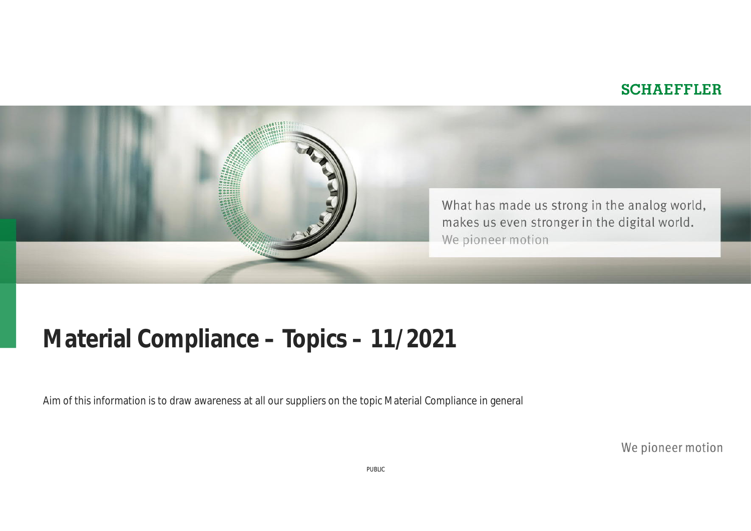#### **SCHAEFFLER**



## **Material Compliance – Topics – 11/2021**

Aim of this information is to draw awareness at all our suppliers on the topic Material Compliance in general

We pioneer motion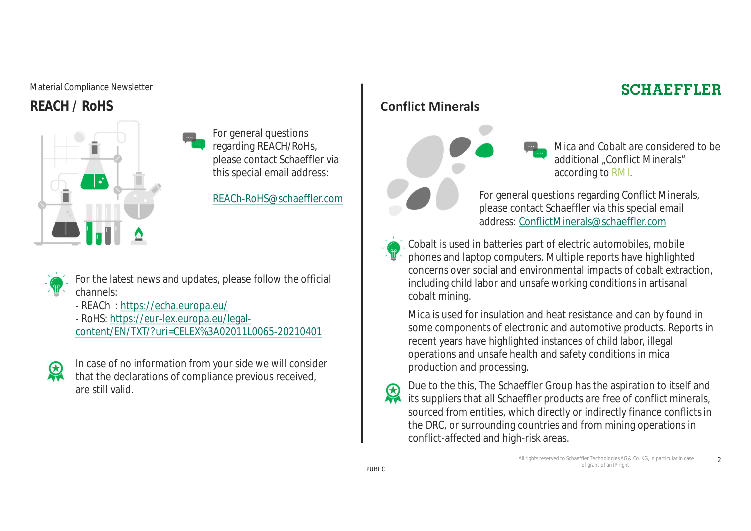#### Material Compliance Newsletter

**REACH / RoHS**



For general questions regarding REACH/RoHs, please contact Schaeffler via this special email address:

REACh-RoHS@schaeffler.com



For the latest news and updates, please follow the official channels:

- REACh : https://echa.europa.eu/

- RoHS: https://eur-lex.europa.eu/legalcontent/EN/TXT/?uri=CELEX%3A02011L0065-20210401



In case of no information from your side we will consider that the declarations of compliance previous received, are still valid.

#### **Conflict Minerals**



Mica and Cobalt are considered to be additional "Conflict Minerals" according to RMI.

**SCHAEFFLER** 

For general questions regarding Conflict Minerals, please contact Schaeffler via this special email address: ConflictMinerals@schaeffler.com

Cobalt is used in batteries part of electric automobiles, mobile phones and laptop computers. Multiple reports have highlighted concerns over social and environmental impacts of cobalt extraction, including child labor and unsafe working conditions in artisanal cobalt mining.

Mica is used for insulation and heat resistance and can by found in some components of electronic and automotive products. Reports in recent years have highlighted instances of child labor, illegal operations and unsafe health and safety conditions in mica production and processing.

Due to the this, The Schaeffler Group has the aspiration to itself and 恩 its suppliers that all Schaeffler products are free of conflict minerals, sourced from entities, which directly or indirectly finance conflicts in the DRC, or surrounding countries and from mining operations in conflict-affected and high-risk areas.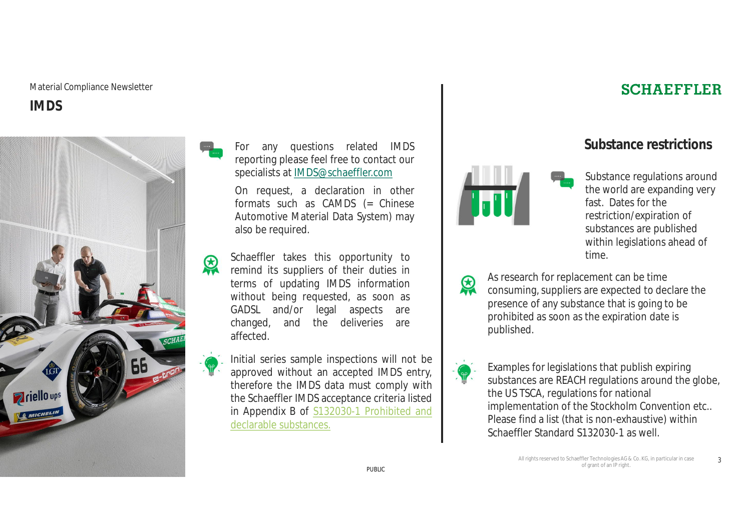#### Material Compliance Newsletter **IMDS**



For any questions related IMDS reporting please feel free to contact our specialists at IMDS@schaeffler.com

On request, a declaration in other formats such as CAMDS (= Chinese Automotive Material Data System) may also be required.

Schaeffler takes this opportunity to remind its suppliers of their duties in terms of updating IMDS information without being requested, as soon as GADSL and/or legal aspects are changed, and the deliveries are affected.

Initial series sample inspections will not be approved without an accepted IMDS entry, therefore the IMDS data must comply with the Schaeffler IMDS acceptance criteria listed in Appendix B of S132030-1 Prohibited and declarable substances.

#### **SCHAEFFLER**

#### **Substance restrictions**



Substance regulations around the world are expanding very fast. Dates for the restriction/expiration of substances are published within legislations ahead of time.

As research for replacement can be time consuming, suppliers are expected to declare the presence of any substance that is going to be prohibited as soon as the expiration date is published.



恩

Examples for legislations that publish expiring substances are REACH regulations around the globe, the US TSCA, regulations for national implementation of the Stockholm Convention etc.. Please find a list (that is non-exhaustive) within Schaeffler Standard S132030-1 as well.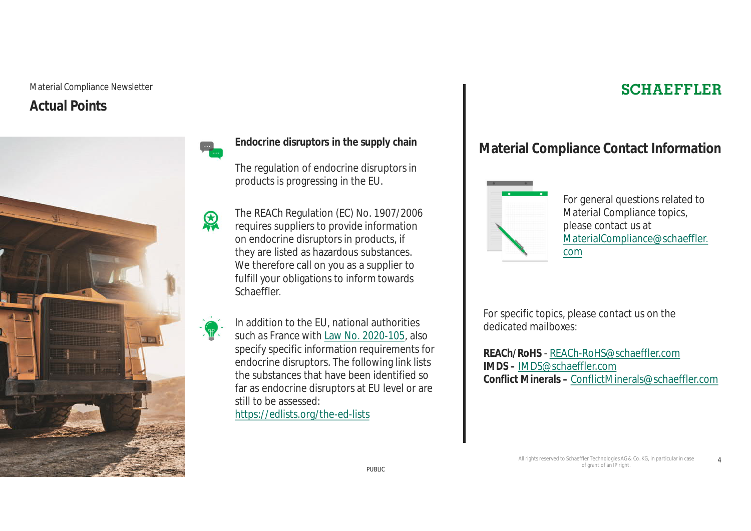#### Material Compliance Newsletter **Actual Points**



The regulation of endocrine disruptors in products is progressing in the EU.

The REACh Regulation (EC) No. 1907/2006 requires suppliers to provide information on endocrine disruptors in products, if they are listed as hazardous substances. We therefore call on you as a supplier to fulfill your obligations to inform towards Schaeffler.

In addition to the EU, national authorities such as France with Law No. 2020-105, also specify specific information requirements for endocrine disruptors. The following link lists the substances that have been identified so far as endocrine disruptors at EU level or are still to be assessed: https://edlists.org/the-ed-lists

#### **SCHAEFFLER**

### Endocrine disruptors in the supply chain **Endocrine displance Contact Information**



For general questions related to Material Compliance topics, please contact us at MaterialCompliance@schaeffler. com

For specific topics, please contact us on the dedicated mailboxes:

**REACh/RoHS** - REACh-RoHS@schaeffler.com **IMDS –** IMDS@schaeffler.com **Conflict Minerals –** ConflictMinerals@schaeffler.com